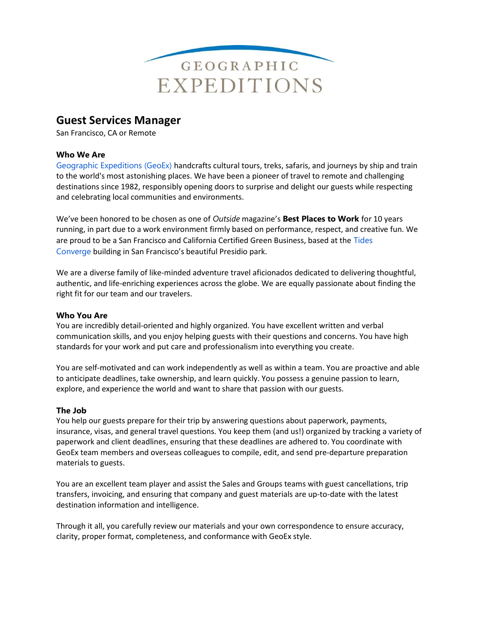

# Guest Services Manager

San Francisco, CA or Remote

#### Who We Are

Geographic Expeditions (GeoEx) handcrafts cultural tours, treks, safaris, and journeys by ship and train to the world's most astonishing places. We have been a pioneer of travel to remote and challenging destinations since 1982, responsibly opening doors to surprise and delight our guests while respecting and celebrating local communities and environments.

We've been honored to be chosen as one of Outside magazine's Best Places to Work for 10 years running, in part due to a work environment firmly based on performance, respect, and creative fun. We are proud to be a San Francisco and California Certified Green Business, based at the Tides Converge building in San Francisco's beautiful Presidio park.

We are a diverse family of like-minded adventure travel aficionados dedicated to delivering thoughtful, authentic, and life-enriching experiences across the globe. We are equally passionate about finding the right fit for our team and our travelers.

#### Who You Are

You are incredibly detail-oriented and highly organized. You have excellent written and verbal communication skills, and you enjoy helping guests with their questions and concerns. You have high standards for your work and put care and professionalism into everything you create.

You are self-motivated and can work independently as well as within a team. You are proactive and able to anticipate deadlines, take ownership, and learn quickly. You possess a genuine passion to learn, explore, and experience the world and want to share that passion with our guests.

#### The Job

You help our guests prepare for their trip by answering questions about paperwork, payments, insurance, visas, and general travel questions. You keep them (and us!) organized by tracking a variety of paperwork and client deadlines, ensuring that these deadlines are adhered to. You coordinate with GeoEx team members and overseas colleagues to compile, edit, and send pre-departure preparation materials to guests.

You are an excellent team player and assist the Sales and Groups teams with guest cancellations, trip transfers, invoicing, and ensuring that company and guest materials are up-to-date with the latest destination information and intelligence.

Through it all, you carefully review our materials and your own correspondence to ensure accuracy, clarity, proper format, completeness, and conformance with GeoEx style.